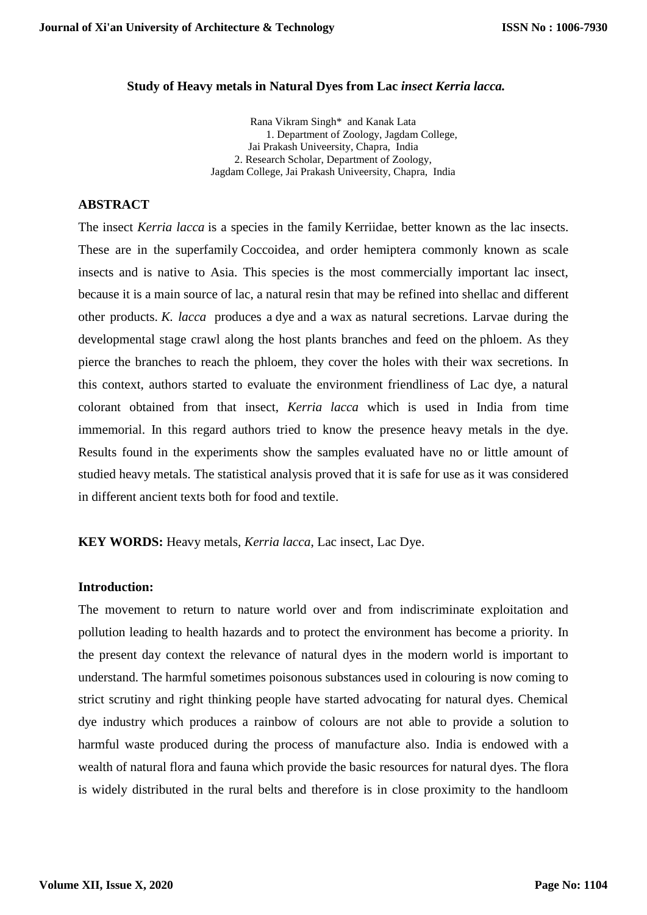#### **Study of Heavy metals in Natural Dyes from Lac** *insect Kerria lacca.*

Rana Vikram Singh\* and Kanak Lata 1. Department of Zoology, Jagdam College, Jai Prakash Univeersity, Chapra, India 2. Research Scholar, Department of Zoology, Jagdam College, Jai Prakash Univeersity, Chapra, India

## **ABSTRACT**

The insect *Kerria lacca* is a species in the family [Kerriidae,](https://en.wikipedia.org/wiki/Kerriidae) better known as the lac insects. These are in the superfamily [Coccoidea,](https://en.wikipedia.org/wiki/Scale_insect) and order hemiptera commonly known as scale insects and is native to Asia. This species is the most commercially important lac insect, because it is a main source of [lac,](https://en.wikipedia.org/wiki/Lac) a natural resin that may be refined into [shellac](https://en.wikipedia.org/wiki/Shellac) and different other products. *K. lacca* produces a [dye](https://en.wikipedia.org/wiki/Dye) and a [wax](https://en.wikipedia.org/wiki/Wax) as natural secretions. Larvae during the developmental stage crawl along the host plants branches and feed on the [phloem.](https://en.wikipedia.org/wiki/Phloem) As they pierce the branches to reach the phloem, they cover the holes with their wax secretions. In this context, authors started to evaluate the environment friendliness of Lac dye, a natural colorant obtained from that insect, *Kerria lacca* which is used in India from time immemorial. In this regard authors tried to know the presence heavy metals in the dye. Results found in the experiments show the samples evaluated have no or little amount of studied heavy metals. The statistical analysis proved that it is safe for use as it was considered in different ancient texts both for food and textile.

**KEY WORDS:** Heavy metals, *Kerria lacca*, Lac insect, Lac Dye.

### **Introduction:**

The movement to return to nature world over and from indiscriminate exploitation and pollution leading to health hazards and to protect the environment has become a priority. In the present day context the relevance of natural dyes in the modern world is important to understand. The harmful sometimes poisonous substances used in colouring is now coming to strict scrutiny and right thinking people have started advocating for natural dyes. Chemical dye industry which produces a rainbow of colours are not able to provide a solution to harmful waste produced during the process of manufacture also. India is endowed with a wealth of natural flora and fauna which provide the basic resources for natural dyes. The flora is widely distributed in the rural belts and therefore is in close proximity to the handloom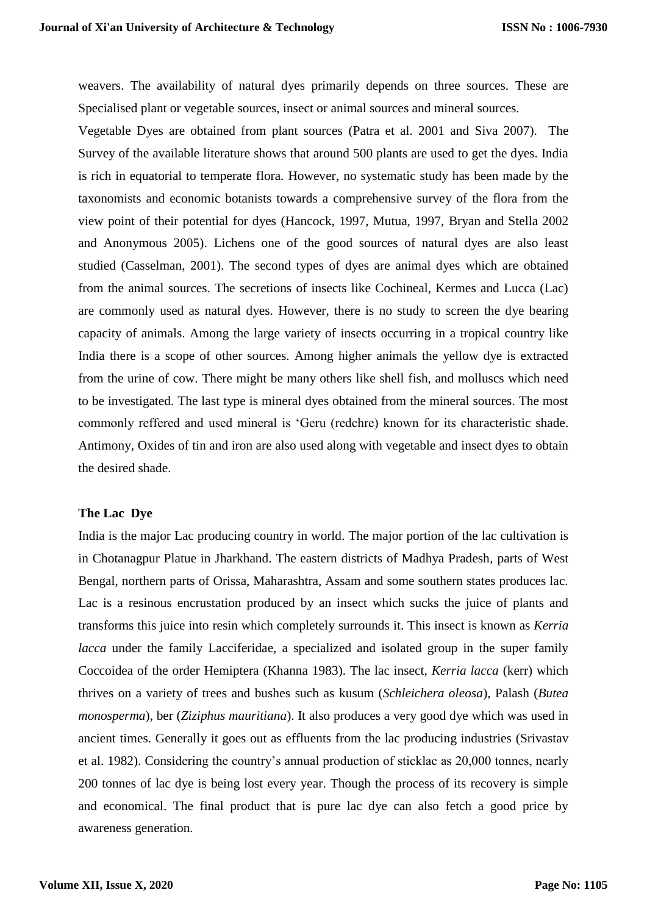weavers. The availability of natural dyes primarily depends on three sources. These are Specialised plant or vegetable sources, insect or animal sources and mineral sources.

Vegetable Dyes are obtained from plant sources (Patra et al. 2001 and Siva 2007). The Survey of the available literature shows that around 500 plants are used to get the dyes. India is rich in equatorial to temperate flora. However, no systematic study has been made by the taxonomists and economic botanists towards a comprehensive survey of the flora from the view point of their potential for dyes (Hancock, 1997, Mutua, 1997, Bryan and Stella 2002 and Anonymous 2005). Lichens one of the good sources of natural dyes are also least studied (Casselman, 2001). The second types of dyes are animal dyes which are obtained from the animal sources. The secretions of insects like Cochineal, Kermes and Lucca (Lac) are commonly used as natural dyes. However, there is no study to screen the dye bearing capacity of animals. Among the large variety of insects occurring in a tropical country like India there is a scope of other sources. Among higher animals the yellow dye is extracted from the urine of cow. There might be many others like shell fish, and molluscs which need to be investigated. The last type is mineral dyes obtained from the mineral sources. The most commonly reffered and used mineral is 'Geru (redchre) known for its characteristic shade. Antimony, Oxides of tin and iron are also used along with vegetable and insect dyes to obtain the desired shade.

# **The Lac Dye**

India is the major Lac producing country in world. The major portion of the lac cultivation is in Chotanagpur Platue in Jharkhand. The eastern districts of Madhya Pradesh, parts of West Bengal, northern parts of Orissa, Maharashtra, Assam and some southern states produces lac. Lac is a resinous encrustation produced by an insect which sucks the juice of plants and transforms this juice into resin which completely surrounds it. This insect is known as *Kerria lacca* under the family Lacciferidae, a specialized and isolated group in the super family Coccoidea of the order Hemiptera (Khanna 1983). The lac insect, *Kerria lacca* (kerr) which thrives on a variety of trees and bushes such as kusum (*Schleichera oleosa*), Palash (*Butea monosperma*), ber (*Ziziphus mauritiana*). It also produces a very good dye which was used in ancient times. Generally it goes out as effluents from the lac producing industries (Srivastav et al. 1982). Considering the country's annual production of sticklac as 20,000 tonnes, nearly 200 tonnes of lac dye is being lost every year. Though the process of its recovery is simple and economical. The final product that is pure lac dye can also fetch a good price by awareness generation.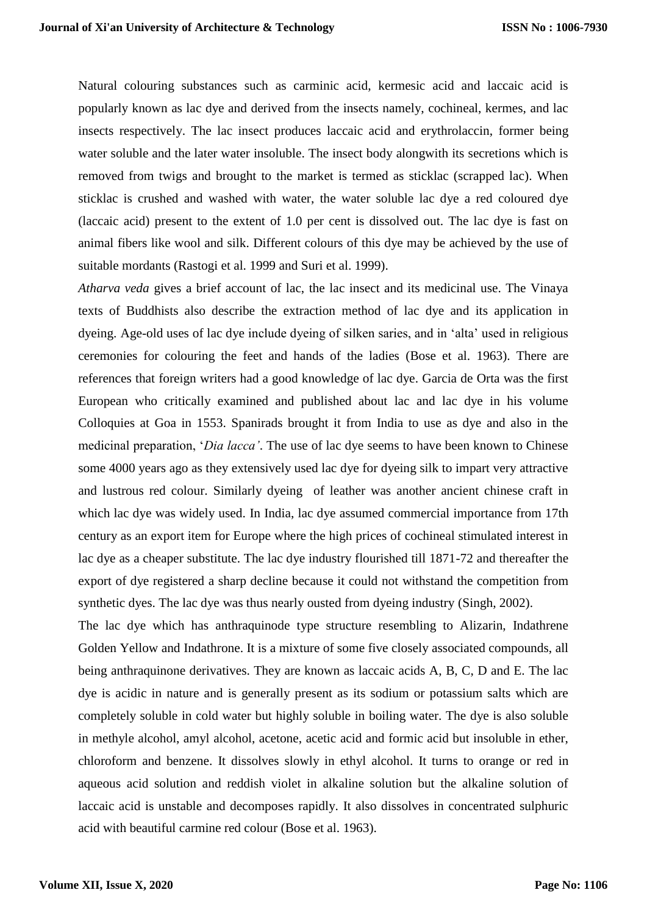Natural colouring substances such as carminic acid, kermesic acid and laccaic acid is popularly known as lac dye and derived from the insects namely, cochineal, kermes, and lac insects respectively. The lac insect produces laccaic acid and erythrolaccin, former being water soluble and the later water insoluble. The insect body alongwith its secretions which is removed from twigs and brought to the market is termed as sticklac (scrapped lac). When sticklac is crushed and washed with water, the water soluble lac dye a red coloured dye (laccaic acid) present to the extent of 1.0 per cent is dissolved out. The lac dye is fast on animal fibers like wool and silk. Different colours of this dye may be achieved by the use of suitable mordants (Rastogi et al. 1999 and Suri et al. 1999).

*Atharva veda* gives a brief account of lac, the lac insect and its medicinal use. The Vinaya texts of Buddhists also describe the extraction method of lac dye and its application in dyeing. Age-old uses of lac dye include dyeing of silken saries, and in 'alta' used in religious ceremonies for colouring the feet and hands of the ladies (Bose et al. 1963). There are references that foreign writers had a good knowledge of lac dye. Garcia de Orta was the first European who critically examined and published about lac and lac dye in his volume Colloquies at Goa in 1553. Spanirads brought it from India to use as dye and also in the medicinal preparation, '*Dia lacca'*. The use of lac dye seems to have been known to Chinese some 4000 years ago as they extensively used lac dye for dyeing silk to impart very attractive and lustrous red colour. Similarly dyeing of leather was another ancient chinese craft in which lac dye was widely used. In India, lac dye assumed commercial importance from 17th century as an export item for Europe where the high prices of cochineal stimulated interest in lac dye as a cheaper substitute. The lac dye industry flourished till 1871-72 and thereafter the export of dye registered a sharp decline because it could not withstand the competition from synthetic dyes. The lac dye was thus nearly ousted from dyeing industry (Singh, 2002).

The lac dye which has anthraquinode type structure resembling to Alizarin, Indathrene Golden Yellow and Indathrone. It is a mixture of some five closely associated compounds, all being anthraquinone derivatives. They are known as laccaic acids A, B, C, D and E. The lac dye is acidic in nature and is generally present as its sodium or potassium salts which are completely soluble in cold water but highly soluble in boiling water. The dye is also soluble in methyle alcohol, amyl alcohol, acetone, acetic acid and formic acid but insoluble in ether, chloroform and benzene. It dissolves slowly in ethyl alcohol. It turns to orange or red in aqueous acid solution and reddish violet in alkaline solution but the alkaline solution of laccaic acid is unstable and decomposes rapidly. It also dissolves in concentrated sulphuric acid with beautiful carmine red colour (Bose et al. 1963).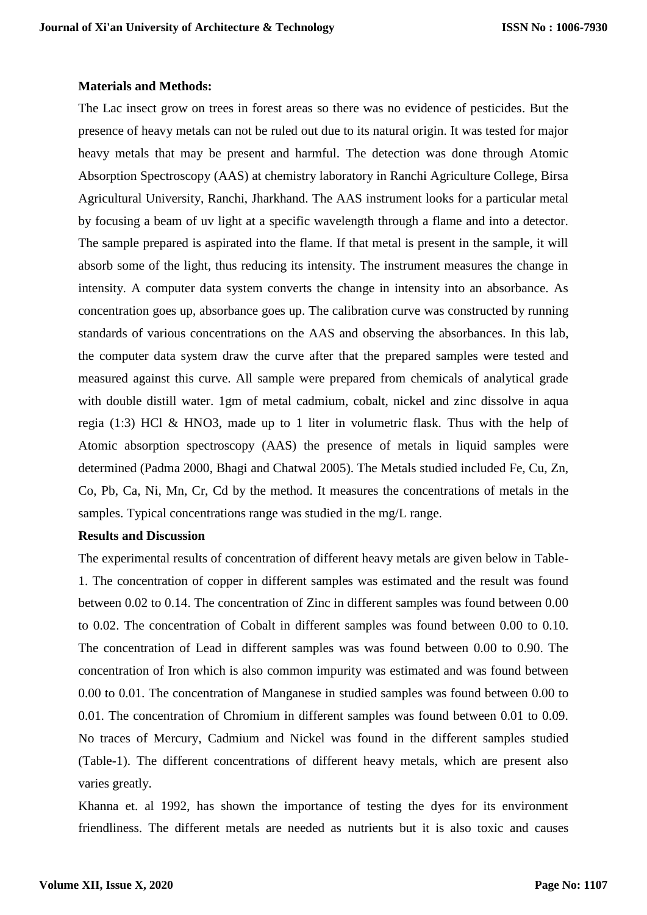## **Materials and Methods:**

The Lac insect grow on trees in forest areas so there was no evidence of pesticides. But the presence of heavy metals can not be ruled out due to its natural origin. It was tested for major heavy metals that may be present and harmful. The detection was done through Atomic Absorption Spectroscopy (AAS) at chemistry laboratory in Ranchi Agriculture College, Birsa Agricultural University, Ranchi, Jharkhand. The AAS instrument looks for a particular metal by focusing a beam of uv light at a specific wavelength through a flame and into a detector. The sample prepared is aspirated into the flame. If that metal is present in the sample, it will absorb some of the light, thus reducing its intensity. The instrument measures the change in intensity. A computer data system converts the change in intensity into an absorbance. As concentration goes up, absorbance goes up. The calibration curve was constructed by running standards of various concentrations on the AAS and observing the absorbances. In this lab, the computer data system draw the curve after that the prepared samples were tested and measured against this curve. All sample were prepared from chemicals of analytical grade with double distill water. 1gm of metal cadmium, cobalt, nickel and zinc dissolve in aqua regia (1:3) HCl & HNO3, made up to 1 liter in volumetric flask. Thus with the help of Atomic absorption spectroscopy (AAS) the presence of metals in liquid samples were determined (Padma 2000, Bhagi and Chatwal 2005). The Metals studied included Fe, Cu, Zn, Co, Pb, Ca, Ni, Mn, Cr, Cd by the method. It measures the concentrations of metals in the samples. Typical concentrations range was studied in the mg/L range.

#### **Results and Discussion**

The experimental results of concentration of different heavy metals are given below in Table-1. The concentration of copper in different samples was estimated and the result was found between 0.02 to 0.14. The concentration of Zinc in different samples was found between 0.00 to 0.02. The concentration of Cobalt in different samples was found between 0.00 to 0.10. The concentration of Lead in different samples was was found between 0.00 to 0.90. The concentration of Iron which is also common impurity was estimated and was found between 0.00 to 0.01. The concentration of Manganese in studied samples was found between 0.00 to 0.01. The concentration of Chromium in different samples was found between 0.01 to 0.09. No traces of Mercury, Cadmium and Nickel was found in the different samples studied (Table-1). The different concentrations of different heavy metals, which are present also varies greatly.

Khanna et. al 1992, has shown the importance of testing the dyes for its environment friendliness. The different metals are needed as nutrients but it is also toxic and causes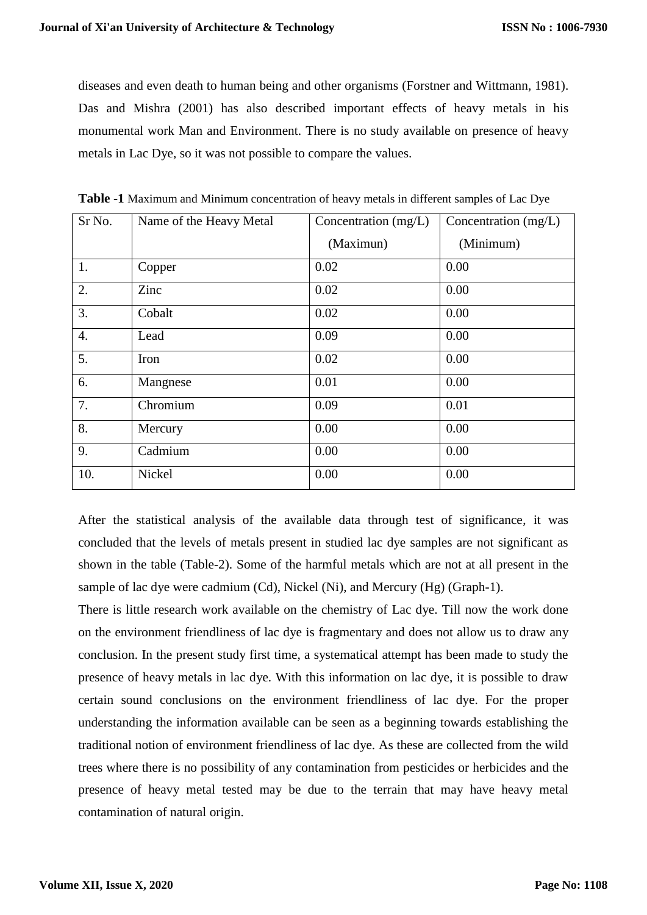diseases and even death to human being and other organisms (Forstner and Wittmann, 1981). Das and Mishra (2001) has also described important effects of heavy metals in his monumental work Man and Environment. There is no study available on presence of heavy metals in Lac Dye, so it was not possible to compare the values.

| Sr No.           | Name of the Heavy Metal | Concentration (mg/L) | Concentration (mg/L) |  |
|------------------|-------------------------|----------------------|----------------------|--|
|                  |                         | (Maximun)            | (Minimum)            |  |
| 1.               | Copper                  | 0.02                 | 0.00                 |  |
| 2.               | Zinc                    | 0.02                 | 0.00                 |  |
| 3.               | Cobalt                  | 0.02                 | 0.00                 |  |
| $\overline{4}$ . | Lead                    | 0.09                 | 0.00                 |  |
| 5.               | Iron                    | 0.02                 | 0.00                 |  |
| 6.               | Mangnese                | 0.01                 | 0.00                 |  |
| 7.               | Chromium                | 0.09                 | 0.01                 |  |
| 8.               | Mercury                 | 0.00                 | 0.00                 |  |
| 9.               | Cadmium                 | 0.00                 | 0.00                 |  |
| 10.              | Nickel                  | 0.00                 | 0.00                 |  |

**Table -1** Maximum and Minimum concentration of heavy metals in different samples of Lac Dye

After the statistical analysis of the available data through test of significance, it was concluded that the levels of metals present in studied lac dye samples are not significant as shown in the table (Table-2). Some of the harmful metals which are not at all present in the sample of lac dye were cadmium (Cd), Nickel (Ni), and Mercury (Hg) (Graph-1).

There is little research work available on the chemistry of Lac dye. Till now the work done on the environment friendliness of lac dye is fragmentary and does not allow us to draw any conclusion. In the present study first time, a systematical attempt has been made to study the presence of heavy metals in lac dye. With this information on lac dye, it is possible to draw certain sound conclusions on the environment friendliness of lac dye. For the proper understanding the information available can be seen as a beginning towards establishing the traditional notion of environment friendliness of lac dye. As these are collected from the wild trees where there is no possibility of any contamination from pesticides or herbicides and the presence of heavy metal tested may be due to the terrain that may have heavy metal contamination of natural origin.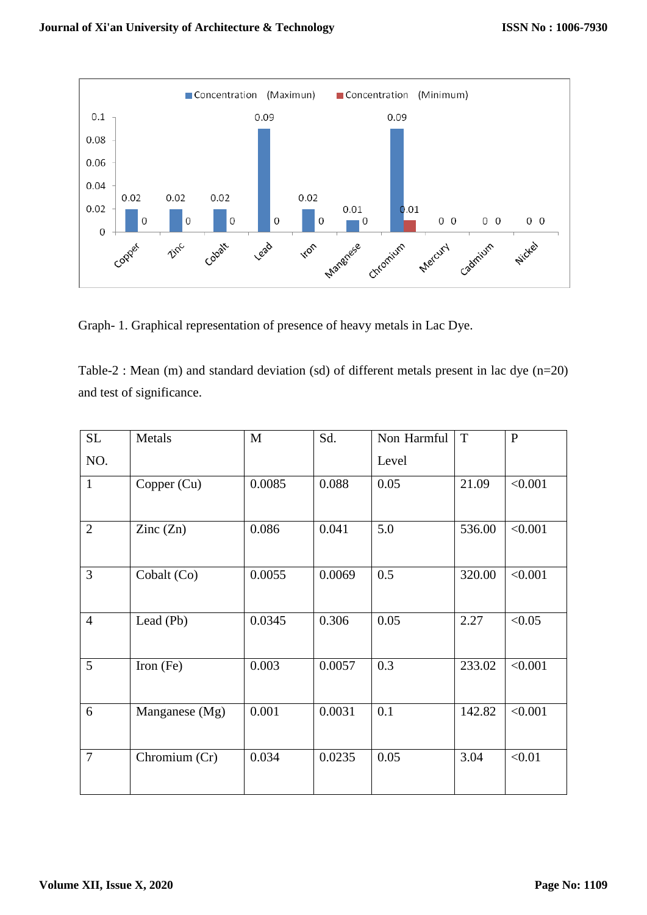

Graph- 1. Graphical representation of presence of heavy metals in Lac Dye.

Table-2 : Mean (m) and standard deviation (sd) of different metals present in lac dye (n=20) and test of significance.

| SL             | Metals         | M      | Sd.    | Non Harmful | $\mathbf T$ | $\mathbf{P}$ |
|----------------|----------------|--------|--------|-------------|-------------|--------------|
| NO.            |                |        |        | Level       |             |              |
| $\mathbf{1}$   | Copper (Cu)    | 0.0085 | 0.088  | 0.05        | 21.09       | < 0.001      |
| $\overline{2}$ | Zinc $(Zn)$    | 0.086  | 0.041  | 5.0         | 536.00      | < 0.001      |
| 3              | Cobalt (Co)    | 0.0055 | 0.0069 | 0.5         | 320.00      | < 0.001      |
| $\overline{4}$ | Lead (Pb)      | 0.0345 | 0.306  | 0.05        | 2.27        | < 0.05       |
| 5              | Iron $(Fe)$    | 0.003  | 0.0057 | 0.3         | 233.02      | < 0.001      |
| 6              | Manganese (Mg) | 0.001  | 0.0031 | 0.1         | 142.82      | < 0.001      |
| $\overline{7}$ | Chromium (Cr)  | 0.034  | 0.0235 | 0.05        | 3.04        | < 0.01       |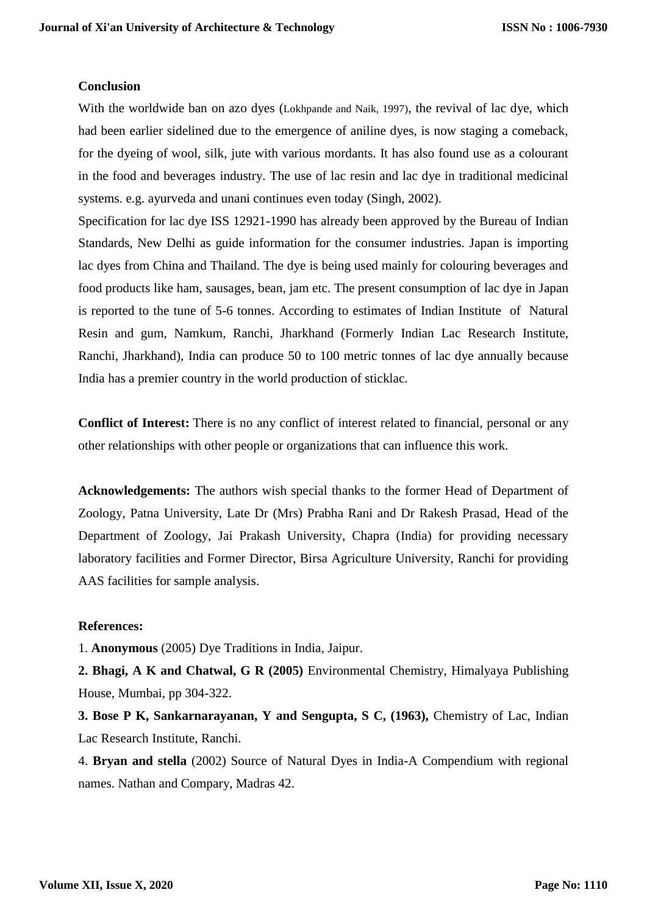## **Conclusion**

With the worldwide ban on azo dyes (Lokhpande and Naik, 1997), the revival of lac dye, which had been earlier sidelined due to the emergence of aniline dyes, is now staging a comeback, for the dyeing of wool, silk, jute with various mordants. It has also found use as a colourant in the food and beverages industry. The use of lac resin and lac dye in traditional medicinal systems. e.g. ayurveda and unani continues even today (Singh, 2002).

Specification for lac dye ISS 12921-1990 has already been approved by the Bureau of Indian Standards, New Delhi as guide information for the consumer industries. Japan is importing lac dyes from China and Thailand. The dye is being used mainly for colouring beverages and food products like ham, sausages, bean, jam etc. The present consumption of lac dye in Japan is reported to the tune of 5-6 tonnes. According to estimates of Indian Institute of Natural Resin and gum, Namkum, Ranchi, Jharkhand (Formerly Indian Lac Research Institute, Ranchi, Jharkhand), India can produce 50 to 100 metric tonnes of lac dye annually because India has a premier country in the world production of sticklac.

**Conflict of Interest:** There is no any conflict of interest related to financial, personal or any other relationships with other people or organizations that can influence this work.

**Acknowledgements:** The authors wish special thanks to the former Head of Department of Zoology, Patna University, Late Dr (Mrs) Prabha Rani and Dr Rakesh Prasad, Head of the Department of Zoology, Jai Prakash University, Chapra (India) for providing necessary laboratory facilities and Former Director, Birsa Agriculture University, Ranchi for providing AAS facilities for sample analysis.

# **References:**

1. **Anonymous** (2005) Dye Traditions in India, Jaipur.

**2. Bhagi, A K and Chatwal, G R (2005)** Environmental Chemistry, Himalyaya Publishing House, Mumbai, pp 304-322.

**3. Bose P K, Sankarnarayanan, Y and Sengupta, S C, (1963),** Chemistry of Lac, Indian Lac Research Institute, Ranchi.

4. **Bryan and stella** (2002) Source of Natural Dyes in India-A Compendium with regional names. Nathan and Compary, Madras 42.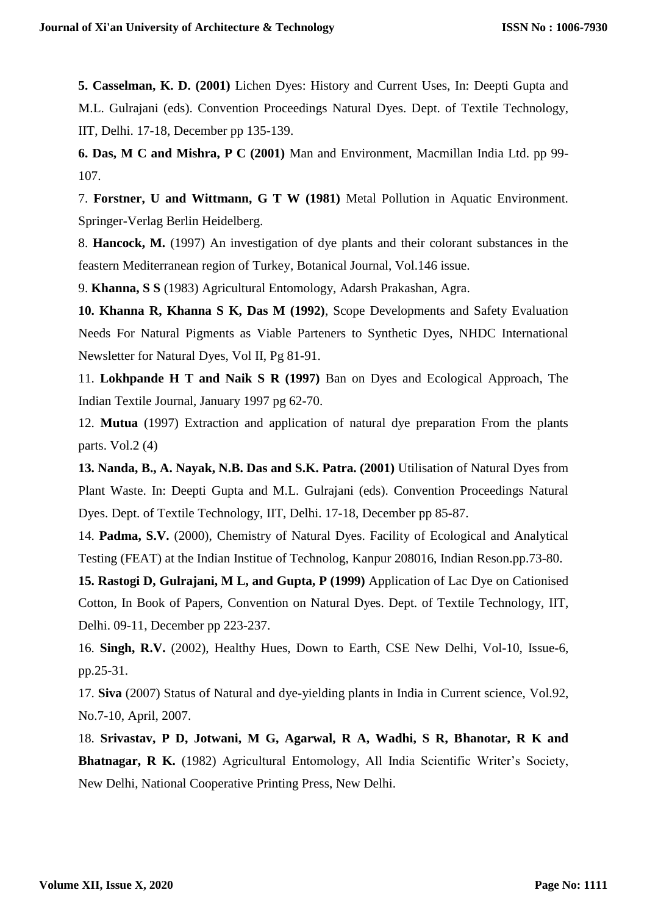**5. Casselman, K. D. (2001)** Lichen Dyes: History and Current Uses, In: Deepti Gupta and M.L. Gulrajani (eds). Convention Proceedings Natural Dyes. Dept. of Textile Technology, IIT, Delhi. 17-18, December pp 135-139.

**6. Das, M C and Mishra, P C (2001)** Man and Environment, Macmillan India Ltd. pp 99- 107.

7. **Forstner, U and Wittmann, G T W (1981)** Metal Pollution in Aquatic Environment. Springer-Verlag Berlin Heidelberg.

8. **Hancock, M.** (1997) An investigation of dye plants and their colorant substances in the feastern Mediterranean region of Turkey, Botanical Journal, Vol.146 issue.

9. **Khanna, S S** (1983) Agricultural Entomology, Adarsh Prakashan, Agra.

**10. Khanna R, Khanna S K, Das M (1992)**, Scope Developments and Safety Evaluation Needs For Natural Pigments as Viable Parteners to Synthetic Dyes, NHDC International Newsletter for Natural Dyes, Vol II, Pg 81-91.

11. **Lokhpande H T and Naik S R (1997)** Ban on Dyes and Ecological Approach, The Indian Textile Journal, January 1997 pg 62-70.

12. **Mutua** (1997) Extraction and application of natural dye preparation From the plants parts. Vol.2 $(4)$ 

**13. Nanda, B., A. Nayak, N.B. Das and S.K. Patra. (2001)** Utilisation of Natural Dyes from Plant Waste. In: Deepti Gupta and M.L. Gulrajani (eds). Convention Proceedings Natural Dyes. Dept. of Textile Technology, IIT, Delhi. 17-18, December pp 85-87.

14. **Padma, S.V.** (2000), Chemistry of Natural Dyes. Facility of Ecological and Analytical Testing (FEAT) at the Indian Institue of Technolog, Kanpur 208016, Indian Reson.pp.73-80.

**15. Rastogi D, Gulrajani, M L, and Gupta, P (1999)** Application of Lac Dye on Cationised Cotton, In Book of Papers, Convention on Natural Dyes. Dept. of Textile Technology, IIT, Delhi. 09-11, December pp 223-237.

16. **Singh, R.V.** (2002), Healthy Hues, Down to Earth, CSE New Delhi, Vol-10, Issue-6, pp.25-31.

17. **Siva** (2007) Status of Natural and dye-yielding plants in India in Current science, Vol.92, No.7-10, April, 2007.

18. **Srivastav, P D, Jotwani, M G, Agarwal, R A, Wadhi, S R, Bhanotar, R K and**  Bhatnagar, R K. (1982) Agricultural Entomology, All India Scientific Writer's Society, New Delhi, National Cooperative Printing Press, New Delhi.